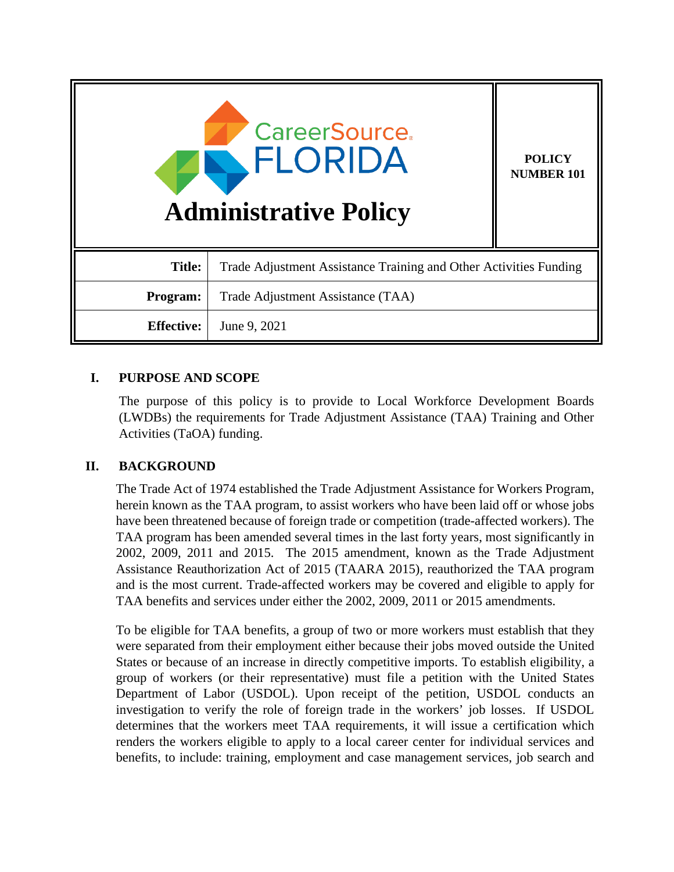| <b>CareerSource.</b><br>FLORIDA<br><b>Administrative Policy</b> |                                                                   | <b>POLICY</b><br><b>NUMBER 101</b> |
|-----------------------------------------------------------------|-------------------------------------------------------------------|------------------------------------|
| <b>Title:</b>                                                   | Trade Adjustment Assistance Training and Other Activities Funding |                                    |
| Program:                                                        | Trade Adjustment Assistance (TAA)                                 |                                    |
| <b>Effective:</b>                                               | June 9, 2021                                                      |                                    |

# **I. PURPOSE AND SCOPE**

The purpose of this policy is to provide to Local Workforce Development Boards (LWDBs) the requirements for Trade Adjustment Assistance (TAA) Training and Other Activities (TaOA) funding.

## **II. BACKGROUND**

The Trade Act of 1974 established the Trade Adjustment Assistance for Workers Program, herein known as the TAA program, to assist workers who have been laid off or whose jobs have been threatened because of foreign trade or competition (trade-affected workers). The TAA program has been amended several times in the last forty years, most significantly in 2002, 2009, 2011 and 2015. The 2015 amendment, known as the Trade Adjustment Assistance Reauthorization Act of 2015 (TAARA 2015), reauthorized the TAA program and is the most current. Trade-affected workers may be covered and eligible to apply for TAA benefits and services under either the 2002, 2009, 2011 or 2015 amendments.

To be eligible for TAA benefits, a group of two or more workers must establish that they were separated from their employment either because their jobs moved outside the United States or because of an increase in directly competitive imports. To establish eligibility, a group of workers (or their representative) must file a petition with the United States Department of Labor (USDOL). Upon receipt of the petition, USDOL conducts an investigation to verify the role of foreign trade in the workers' job losses. If USDOL determines that the workers meet TAA requirements, it will issue a certification which renders the workers eligible to apply to a local career center for individual services and benefits, to include: training, employment and case management services, job search and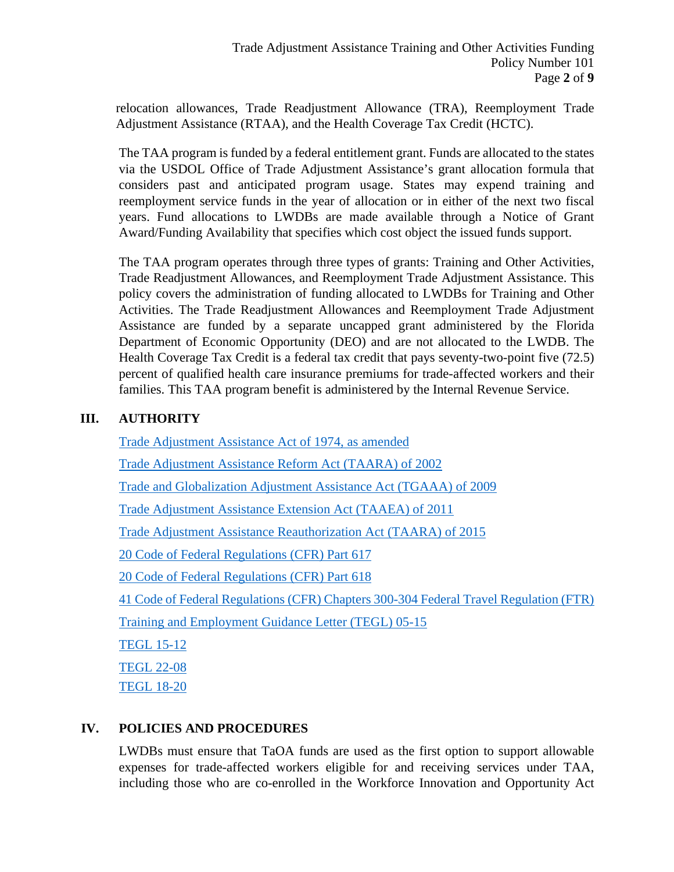relocation allowances, Trade Readjustment Allowance (TRA), Reemployment Trade Adjustment Assistance (RTAA), and the Health Coverage Tax Credit (HCTC).

The TAA program is funded by a federal entitlement grant. Funds are allocated to the states via the USDOL Office of Trade Adjustment Assistance's grant allocation formula that considers past and anticipated program usage. States may expend training and reemployment service funds in the year of allocation or in either of the next two fiscal years. Fund allocations to LWDBs are made available through a Notice of Grant Award/Funding Availability that specifies which cost object the issued funds support.

The TAA program operates through three types of grants: Training and Other Activities, Trade Readjustment Allowances, and Reemployment Trade Adjustment Assistance. This policy covers the administration of funding allocated to LWDBs for Training and Other Activities. The Trade Readjustment Allowances and Reemployment Trade Adjustment Assistance are funded by a separate uncapped grant administered by the Florida Department of Economic Opportunity (DEO) and are not allocated to the LWDB. The Health Coverage Tax Credit is a federal tax credit that pays seventy-two-point five (72.5) percent of qualified health care insurance premiums for trade-affected workers and their families. This TAA program benefit is administered by the Internal Revenue Service.

# **III. AUTHORITY**

[Trade Adjustment Assistance Act of 1974, as amended](https://www.govinfo.gov/mwg-internal/de5fs23hu73ds/progress?id=26_M-sdoOFsHkss5353MlJkbUZuqOTYL-C43RgFZib4,) Trade Adjustment [Assistance Reform Act \(TAARA\) of 2002](https://www.doleta.gov/tradeact/pdf/amd2002.pdf) [Trade and Globalization Adjustment Assistance Act \(TGAAA\) of 2009](http://www.gpo.gov/fdsys/pkg/PLAW-111publ5/pdf/PLAW-111publ5.pdf) [Trade Adjustment Assistance Extension Act \(TAAEA\) of 2011](https://www.gpo.gov/fdsys/pkg/PLAW-112publ40/pdf/PLAW-112publ40.pdf) [Trade Adjustment Assistance Reauthorization Act \(TAARA\) of 2015](https://www.congress.gov/114/plaws/publ27/PLAW-114publ27.pdf) [20 Code of Federal Regulations \(CFR\) Part 617](https://www.govinfo.gov/app/details/CFR-2012-title20-vol3/CFR-2012-title20-vol3-part617) [20 Code of Federal Regulations \(CFR\) Part 618](https://www.ecfr.gov/cgi-bin/text-idx?node=pt20.3.618&rgn=div5) 41 Code of Federal Regulations (CFR) Chapters 300[-304](https://www.gsa.gov/policy-regulations/regulations/federal-travel-regulation-ftr) Federal Travel Regulation (FTR) [Training and Employment Guidance Letter \(TEGL\) 05-15](https://wdr.doleta.gov/directives/attach/TEGL/TEGL_05-15_Acc.pdf)  [TEGL 15-12](https://wdr.doleta.gov/directives/attach/TEGL/TEGL_15_12_Acc.pdf)  [TEGL 22-08](https://wdr.doleta.gov/directives/attach/tegl/TEGL22-08acc.pdf)  [TEGL 18-20](https://wdr.doleta.gov/directives/corr_doc.cfm?DOCN=9318)

## **IV. POLICIES AND PROCEDURES**

LWDBs must ensure that TaOA funds are used as the first option to support allowable expenses for trade-affected workers eligible for and receiving services under TAA, including those who are co-enrolled in the Workforce Innovation and Opportunity Act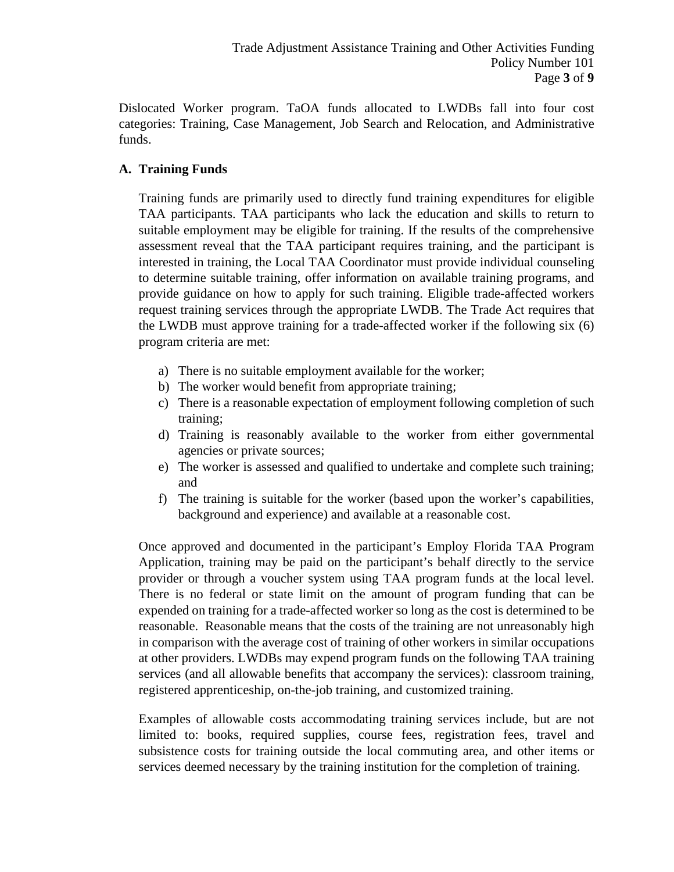Dislocated Worker program. TaOA funds allocated to LWDBs fall into four cost categories: Training, Case Management, Job Search and Relocation, and Administrative funds.

# **A. Training Funds**

Training funds are primarily used to directly fund training expenditures for eligible TAA participants. TAA participants who lack the education and skills to return to suitable employment may be eligible for training. If the results of the comprehensive assessment reveal that the TAA participant requires training, and the participant is interested in training, the Local TAA Coordinator must provide individual counseling to determine suitable training, offer information on available training programs, and provide guidance on how to apply for such training. Eligible trade-affected workers request training services through the appropriate LWDB. The Trade Act requires that the LWDB must approve training for a trade-affected worker if the following six (6) program criteria are met:

- a) There is no suitable employment available for the worker;
- b) The worker would benefit from appropriate training;
- c) There is a reasonable expectation of employment following completion of such training;
- d) Training is reasonably available to the worker from either governmental agencies or private sources;
- e) The worker is assessed and qualified to undertake and complete such training; and
- f) The training is suitable for the worker (based upon the worker's capabilities, background and experience) and available at a reasonable cost.

Once approved and documented in the participant's Employ Florida TAA Program Application, training may be paid on the participant's behalf directly to the service provider or through a voucher system using TAA program funds at the local level. There is no federal or state limit on the amount of program funding that can be expended on training for a trade-affected worker so long as the cost is determined to be reasonable. Reasonable means that the costs of the training are not unreasonably high in comparison with the average cost of training of other workers in similar occupations at other providers. LWDBs may expend program funds on the following TAA training services (and all allowable benefits that accompany the services): classroom training, registered apprenticeship, on-the-job training, and customized training.

Examples of allowable costs accommodating training services include, but are not limited to: books, required supplies, course fees, registration fees, travel and subsistence costs for training outside the local commuting area, and other items or services deemed necessary by the training institution for the completion of training.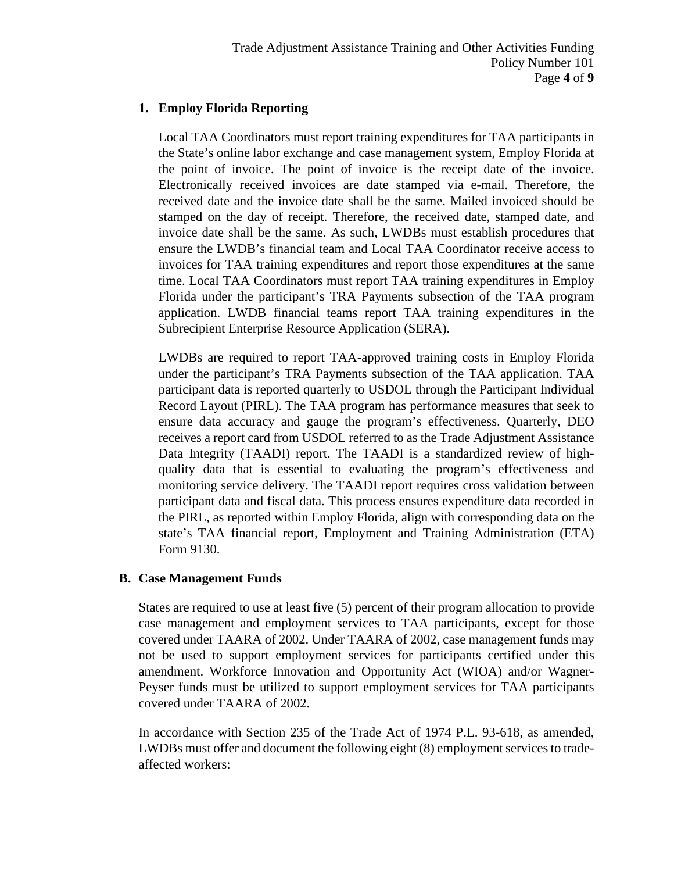# **1. Employ Florida Reporting**

Local TAA Coordinators must report training expenditures for TAA participants in the State's online labor exchange and case management system, Employ Florida at the point of invoice. The point of invoice is the receipt date of the invoice. Electronically received invoices are date stamped via e-mail. Therefore, the received date and the invoice date shall be the same. Mailed invoiced should be stamped on the day of receipt. Therefore, the received date, stamped date, and invoice date shall be the same. As such, LWDBs must establish procedures that ensure the LWDB's financial team and Local TAA Coordinator receive access to invoices for TAA training expenditures and report those expenditures at the same time. Local TAA Coordinators must report TAA training expenditures in Employ Florida under the participant's TRA Payments subsection of the TAA program application. LWDB financial teams report TAA training expenditures in the Subrecipient Enterprise Resource Application (SERA).

LWDBs are required to report TAA-approved training costs in Employ Florida under the participant's TRA Payments subsection of the TAA application. TAA participant data is reported quarterly to USDOL through the Participant Individual Record Layout (PIRL). The TAA program has performance measures that seek to ensure data accuracy and gauge the program's effectiveness. Quarterly, DEO receives a report card from USDOL referred to as the Trade Adjustment Assistance Data Integrity (TAADI) report. The TAADI is a standardized review of highquality data that is essential to evaluating the program's effectiveness and monitoring service delivery. The TAADI report requires cross validation between participant data and fiscal data. This process ensures expenditure data recorded in the PIRL, as reported within Employ Florida, align with corresponding data on the state's TAA financial report, Employment and Training Administration (ETA) Form 9130.

## **B. Case Management Funds**

States are required to use at least five (5) percent of their program allocation to provide case management and employment services to TAA participants, except for those covered under TAARA of 2002. Under TAARA of 2002, case management funds may not be used to support employment services for participants certified under this amendment. Workforce Innovation and Opportunity Act (WIOA) and/or Wagner-Peyser funds must be utilized to support employment services for TAA participants covered under TAARA of 2002.

In accordance with Section 235 of the Trade Act of 1974 P.L. 93-618, as amended, LWDBs must offer and document the following eight (8) employment services to tradeaffected workers: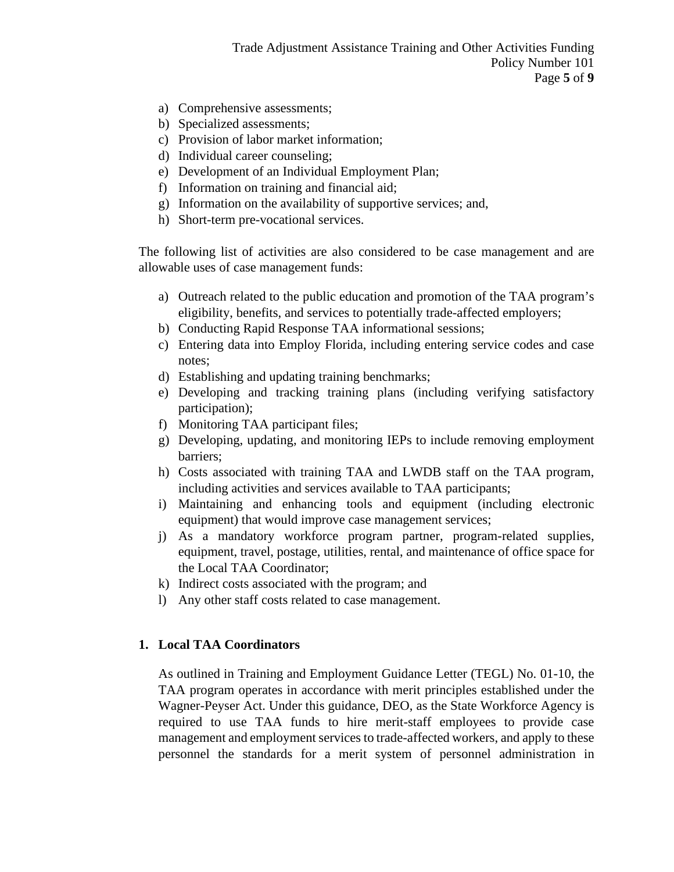- a) Comprehensive assessments;
- b) Specialized assessments;
- c) Provision of labor market information;
- d) Individual career counseling;
- e) Development of an Individual Employment Plan;
- f) Information on training and financial aid;
- g) Information on the availability of supportive services; and,
- h) Short-term pre-vocational services.

The following list of activities are also considered to be case management and are allowable uses of case management funds:

- a) Outreach related to the public education and promotion of the TAA program's eligibility, benefits, and services to potentially trade-affected employers;
- b) Conducting Rapid Response TAA informational sessions;
- c) Entering data into Employ Florida, including entering service codes and case notes;
- d) Establishing and updating training benchmarks;
- e) Developing and tracking training plans (including verifying satisfactory participation);
- f) Monitoring TAA participant files;
- g) Developing, updating, and monitoring IEPs to include removing employment barriers;
- h) Costs associated with training TAA and LWDB staff on the TAA program, including activities and services available to TAA participants;
- i) Maintaining and enhancing tools and equipment (including electronic equipment) that would improve case management services;
- j) As a mandatory workforce program partner, program-related supplies, equipment, travel, postage, utilities, rental, and maintenance of office space for the Local TAA Coordinator;
- k) Indirect costs associated with the program; and
- l) Any other staff costs related to case management.

#### **1. Local TAA Coordinators**

As outlined in Training and Employment Guidance Letter (TEGL) No. 01-10, the TAA program operates in accordance with merit principles established under the Wagner-Peyser Act. Under this guidance, DEO, as the State Workforce Agency is required to use TAA funds to hire merit-staff employees to provide case management and employment services to trade-affected workers, and apply to these personnel the standards for a merit system of personnel administration in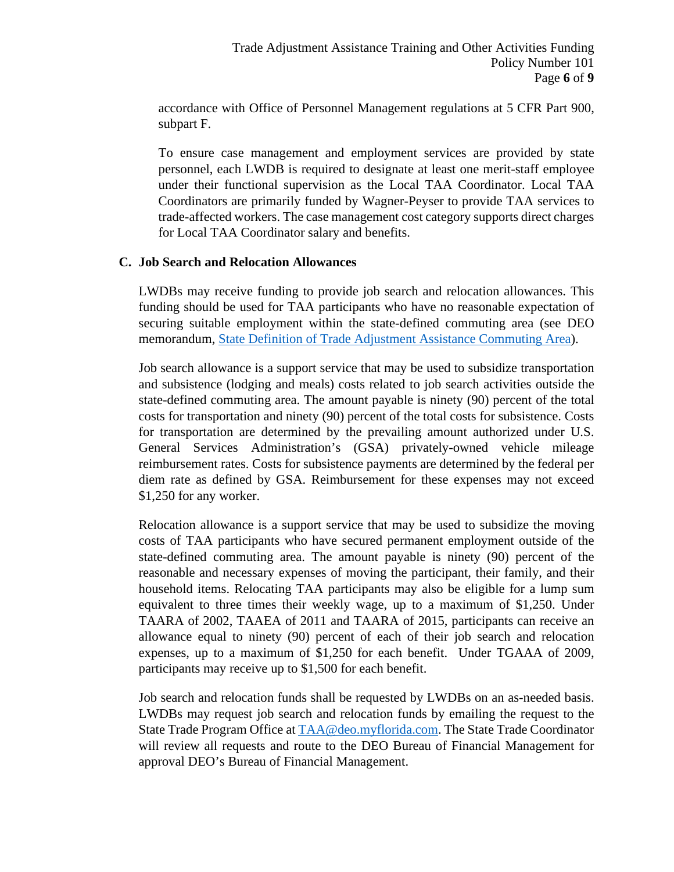accordance with Office of Personnel Management regulations at 5 CFR Part 900, subpart F.

To ensure case management and employment services are provided by state personnel, each LWDB is required to designate at least one merit-staff employee under their functional supervision as the Local TAA Coordinator. Local TAA Coordinators are primarily funded by Wagner-Peyser to provide TAA services to trade-affected workers. The case management cost category supports direct charges for Local TAA Coordinator salary and benefits.

#### **C. Job Search and Relocation Allowances**

LWDBs may receive funding to provide job search and relocation allowances. This funding should be used for TAA participants who have no reasonable expectation of securing suitable employment within the state-defined commuting area (see DEO memorandum, [State Definition of Trade Adjustment Assistance Commuting Area\)](http://floridajobs.org/local-workforce-development-board-resources/policy-and-guidance/memoranda).

Job search allowance is a support service that may be used to subsidize transportation and subsistence (lodging and meals) costs related to job search activities outside the state-defined commuting area. The amount payable is ninety (90) percent of the total costs for transportation and ninety (90) percent of the total costs for subsistence. Costs for transportation are determined by the prevailing amount authorized under U.S. General Services Administration's (GSA) privately-owned vehicle mileage reimbursement rates. Costs for subsistence payments are determined by the federal per diem rate as defined by GSA. Reimbursement for these expenses may not exceed \$1,250 for any worker.

Relocation allowance is a support service that may be used to subsidize the moving costs of TAA participants who have secured permanent employment outside of the state-defined commuting area. The amount payable is ninety (90) percent of the reasonable and necessary expenses of moving the participant, their family, and their household items. Relocating TAA participants may also be eligible for a lump sum equivalent to three times their weekly wage, up to a maximum of \$1,250. Under TAARA of 2002, TAAEA of 2011 and TAARA of 2015, participants can receive an allowance equal to ninety (90) percent of each of their job search and relocation expenses, up to a maximum of \$1,250 for each benefit. Under TGAAA of 2009, participants may receive up to \$1,500 for each benefit.

Job search and relocation funds shall be requested by LWDBs on an as-needed basis. LWDBs may request job search and relocation funds by emailing the request to the State Trade Program Office at [TAA@deo.myflorida.com.](mailto:TAA@deo.myflorida.com) The State Trade Coordinator will review all requests and route to the DEO Bureau of Financial Management for approval DEO's Bureau of Financial Management.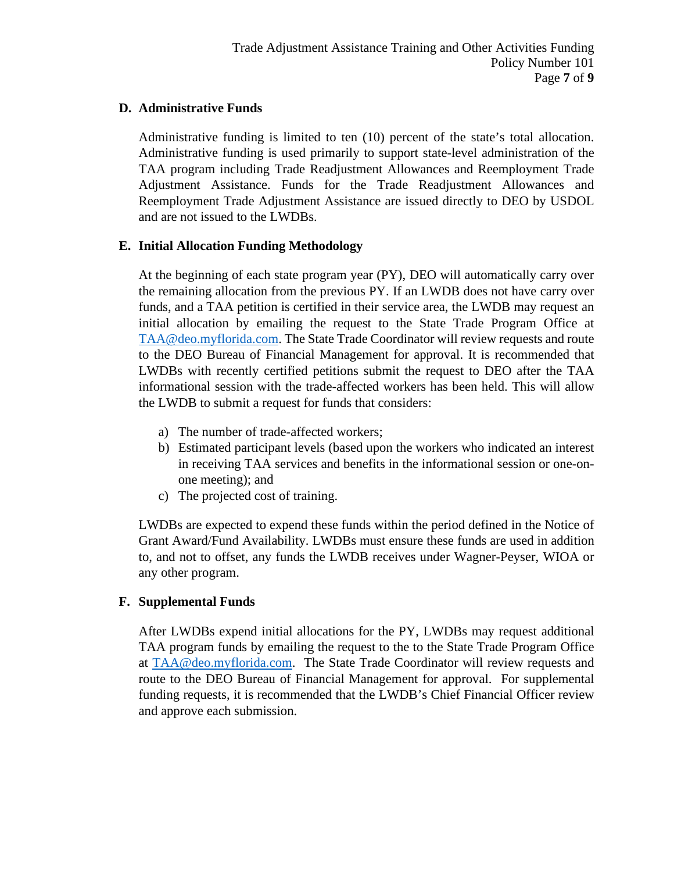# **D. Administrative Funds**

Administrative funding is limited to ten (10) percent of the state's total allocation. Administrative funding is used primarily to support state-level administration of the TAA program including Trade Readjustment Allowances and Reemployment Trade Adjustment Assistance. Funds for the Trade Readjustment Allowances and Reemployment Trade Adjustment Assistance are issued directly to DEO by USDOL and are not issued to the LWDBs.

## **E. Initial Allocation Funding Methodology**

At the beginning of each state program year (PY), DEO will automatically carry over the remaining allocation from the previous PY. If an LWDB does not have carry over funds, and a TAA petition is certified in their service area, the LWDB may request an initial allocation by emailing the request to the State Trade Program Office at [TAA@deo.myflorida.com.](mailto:TAA@deo.myflorida.com) The State Trade Coordinator will review requests and route to the DEO Bureau of Financial Management for approval. It is recommended that LWDBs with recently certified petitions submit the request to DEO after the TAA informational session with the trade-affected workers has been held. This will allow the LWDB to submit a request for funds that considers:

- a) The number of trade-affected workers;
- b) Estimated participant levels (based upon the workers who indicated an interest in receiving TAA services and benefits in the informational session or one-onone meeting); and
- c) The projected cost of training.

LWDBs are expected to expend these funds within the period defined in the Notice of Grant Award/Fund Availability. LWDBs must ensure these funds are used in addition to, and not to offset, any funds the LWDB receives under Wagner-Peyser, WIOA or any other program.

## **F. Supplemental Funds**

After LWDBs expend initial allocations for the PY, LWDBs may request additional TAA program funds by emailing the request to the to the State Trade Program Office at [TAA@deo.myflorida.com.](mailto:TAA@deo.myflorida.com) The State Trade Coordinator will review requests and route to the DEO Bureau of Financial Management for approval. For supplemental funding requests, it is recommended that the LWDB's Chief Financial Officer review and approve each submission.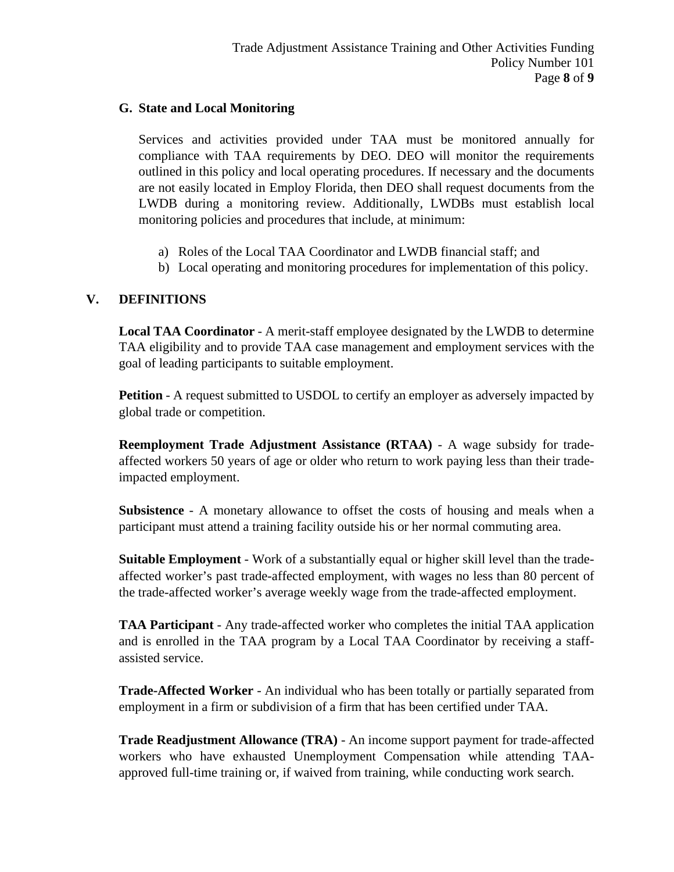### **G. State and Local Monitoring**

Services and activities provided under TAA must be monitored annually for compliance with TAA requirements by DEO. DEO will monitor the requirements outlined in this policy and local operating procedures. If necessary and the documents are not easily located in Employ Florida, then DEO shall request documents from the LWDB during a monitoring review. Additionally, LWDBs must establish local monitoring policies and procedures that include, at minimum:

- a) Roles of the Local TAA Coordinator and LWDB financial staff; and
- b) Local operating and monitoring procedures for implementation of this policy.

# **V. DEFINITIONS**

**Local TAA Coordinator** - A merit-staff employee designated by the LWDB to determine TAA eligibility and to provide TAA case management and employment services with the goal of leading participants to suitable employment.

**Petition** - A request submitted to USDOL to certify an employer as adversely impacted by global trade or competition.

**Reemployment Trade Adjustment Assistance (RTAA)** - A wage subsidy for tradeaffected workers 50 years of age or older who return to work paying less than their tradeimpacted employment.

**Subsistence** - A monetary allowance to offset the costs of housing and meals when a participant must attend a training facility outside his or her normal commuting area.

**Suitable Employment** - Work of a substantially equal or higher skill level than the tradeaffected worker's past trade-affected employment, with wages no less than 80 percent of the trade-affected worker's average weekly wage from the trade-affected employment.

**TAA Participant** - Any trade-affected worker who completes the initial TAA application and is enrolled in the TAA program by a Local TAA Coordinator by receiving a staffassisted service.

**Trade-Affected Worker** - An individual who has been totally or partially separated from employment in a firm or subdivision of a firm that has been certified under TAA.

**Trade Readjustment Allowance (TRA)** - An income support payment for trade-affected workers who have exhausted Unemployment Compensation while attending TAAapproved full-time training or, if waived from training, while conducting work search.